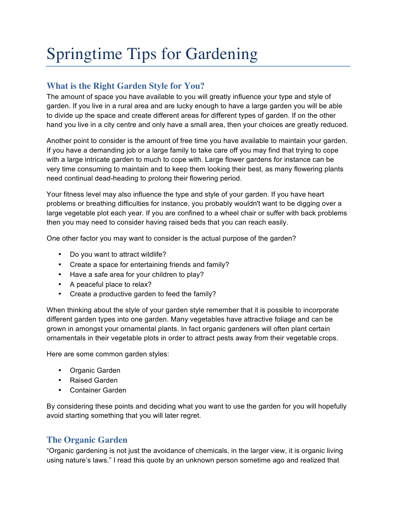# Springtime Tips for Gardening

## **What is the Right Garden Style for You?**

The amount of space you have available to you will greatly influence your type and style of garden. If you live in a rural area and are lucky enough to have a large garden you will be able to divide up the space and create different areas for different types of garden. If on the other hand you live in a city centre and only have a small area, then your choices are greatly reduced.

Another point to consider is the amount of free time you have available to maintain your garden. If you have a demanding job or a large family to take care off you may find that trying to cope with a large intricate garden to much to cope with. Large flower gardens for instance can be very time consuming to maintain and to keep them looking their best, as many flowering plants need continual dead-heading to prolong their flowering period.

Your fitness level may also influence the type and style of your garden. If you have heart problems or breathing difficulties for instance, you probably wouldn't want to be digging over a large vegetable plot each year. If you are confined to a wheel chair or suffer with back problems then you may need to consider having raised beds that you can reach easily.

One other factor you may want to consider is the actual purpose of the garden?

- Do you want to attract wildlife?
- Create a space for entertaining friends and family?
- Have a safe area for your children to play?
- A peaceful place to relax?
- Create a productive garden to feed the family?

When thinking about the style of your garden style remember that it is possible to incorporate different garden types into one garden. Many vegetables have attractive foliage and can be grown in amongst your ornamental plants. In fact organic gardeners will often plant certain ornamentals in their vegetable plots in order to attract pests away from their vegetable crops.

Here are some common garden styles:

- Organic Garden
- Raised Garden
- Container Garden

By considering these points and deciding what you want to use the garden for you will hopefully avoid starting something that you will later regret.

#### **The Organic Garden**

"Organic gardening is not just the avoidance of chemicals, in the larger view, it is organic living using nature's laws." I read this quote by an unknown person sometime ago and realized that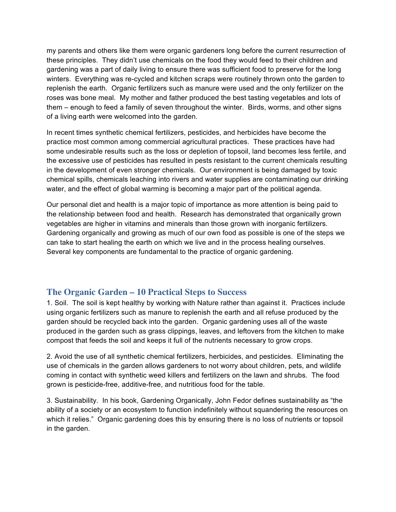my parents and others like them were organic gardeners long before the current resurrection of these principles. They didn't use chemicals on the food they would feed to their children and gardening was a part of daily living to ensure there was sufficient food to preserve for the long winters. Everything was re-cycled and kitchen scraps were routinely thrown onto the garden to replenish the earth. Organic fertilizers such as manure were used and the only fertilizer on the roses was bone meal. My mother and father produced the best tasting vegetables and lots of them – enough to feed a family of seven throughout the winter. Birds, worms, and other signs of a living earth were welcomed into the garden.

In recent times synthetic chemical fertilizers, pesticides, and herbicides have become the practice most common among commercial agricultural practices. These practices have had some undesirable results such as the loss or depletion of topsoil, land becomes less fertile, and the excessive use of pesticides has resulted in pests resistant to the current chemicals resulting in the development of even stronger chemicals. Our environment is being damaged by toxic chemical spills, chemicals leaching into rivers and water supplies are contaminating our drinking water, and the effect of global warming is becoming a major part of the political agenda.

Our personal diet and health is a major topic of importance as more attention is being paid to the relationship between food and health. Research has demonstrated that organically grown vegetables are higher in vitamins and minerals than those grown with inorganic fertilizers. Gardening organically and growing as much of our own food as possible is one of the steps we can take to start healing the earth on which we live and in the process healing ourselves. Several key components are fundamental to the practice of organic gardening.

#### **The Organic Garden – 10 Practical Steps to Success**

1. Soil. The soil is kept healthy by working with Nature rather than against it. Practices include using organic fertilizers such as manure to replenish the earth and all refuse produced by the garden should be recycled back into the garden. Organic gardening uses all of the waste produced in the garden such as grass clippings, leaves, and leftovers from the kitchen to make compost that feeds the soil and keeps it full of the nutrients necessary to grow crops.

2. Avoid the use of all synthetic chemical fertilizers, herbicides, and pesticides. Eliminating the use of chemicals in the garden allows gardeners to not worry about children, pets, and wildlife coming in contact with synthetic weed killers and fertilizers on the lawn and shrubs. The food grown is pesticide-free, additive-free, and nutritious food for the table.

3. Sustainability. In his book, Gardening Organically, John Fedor defines sustainability as "the ability of a society or an ecosystem to function indefinitely without squandering the resources on which it relies." Organic gardening does this by ensuring there is no loss of nutrients or topsoil in the garden.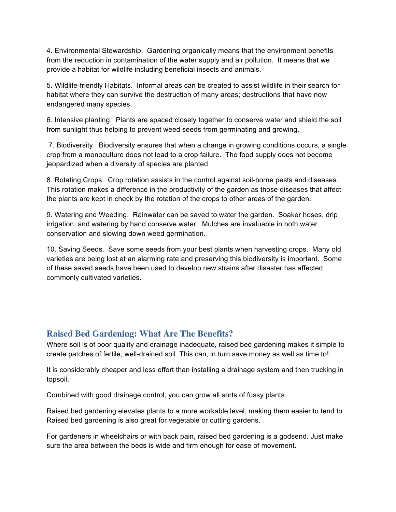4. Environmental Stewardship. Gardening organically means that the environment benefits from the reduction in contamination of the water supply and air pollution. It means that we provide a habitat for wildlife including beneficial insects and animals.

5. Wildlife-friendly Habitats. Informal areas can be created to assist wildlife in their search for habitat where they can survive the destruction of many areas; destructions that have now endangered many species.

6. Intensive planting. Plants are spaced closely together to conserve water and shield the soil from sunlight thus helping to prevent weed seeds from germinating and growing.

 7. Biodiversity. Biodiversity ensures that when a change in growing conditions occurs, a single crop from a monoculture does not lead to a crop failure. The food supply does not become jeopardized when a diversity of species are planted.

8. Rotating Crops. Crop rotation assists in the control against soil-borne pests and diseases. This rotation makes a difference in the productivity of the garden as those diseases that affect the plants are kept in check by the rotation of the crops to other areas of the garden.

9. Watering and Weeding. Rainwater can be saved to water the garden. Soaker hoses, drip irrigation, and watering by hand conserve water. Mulches are invaluable in both water conservation and slowing down weed germination.

10. Saving Seeds. Save some seeds from your best plants when harvesting crops. Many old varieties are being lost at an alarming rate and preserving this biodiversity is important. Some of these saved seeds have been used to develop new strains after disaster has affected commonly cultivated varieties.

#### **Raised Bed Gardening: What Are The Benefits?**

Where soil is of poor quality and drainage inadequate, raised bed gardening makes it simple to create patches of fertile, well-drained soil. This can, in turn save money as well as time to!

It is considerably cheaper and less effort than installing a drainage system and then trucking in topsoil.

Combined with good drainage control, you can grow all sorts of fussy plants.

Raised bed gardening elevates plants to a more workable level, making them easier to tend to. Raised bed gardening is also great for vegetable or cutting gardens.

For gardeners in wheelchairs or with back pain, raised bed gardening is a godsend. Just make sure the area between the beds is wide and firm enough for ease of movement.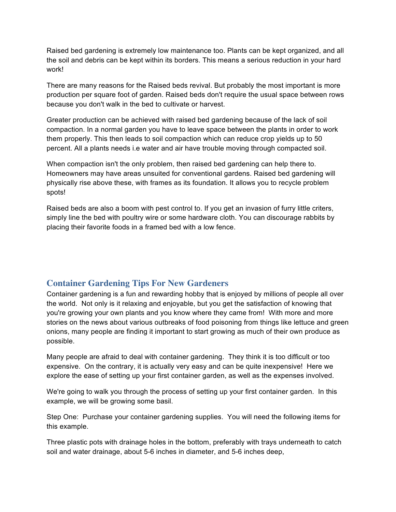Raised bed gardening is extremely low maintenance too. Plants can be kept organized, and all the soil and debris can be kept within its borders. This means a serious reduction in your hard work!

There are many reasons for the Raised beds revival. But probably the most important is more production per square foot of garden. Raised beds don't require the usual space between rows because you don't walk in the bed to cultivate or harvest.

Greater production can be achieved with raised bed gardening because of the lack of soil compaction. In a normal garden you have to leave space between the plants in order to work them properly. This then leads to soil compaction which can reduce crop yields up to 50 percent. All a plants needs i.e water and air have trouble moving through compacted soil.

When compaction isn't the only problem, then raised bed gardening can help there to. Homeowners may have areas unsuited for conventional gardens. Raised bed gardening will physically rise above these, with frames as its foundation. It allows you to recycle problem spots!

Raised beds are also a boom with pest control to. If you get an invasion of furry little criters, simply line the bed with poultry wire or some hardware cloth. You can discourage rabbits by placing their favorite foods in a framed bed with a low fence.

#### **Container Gardening Tips For New Gardeners**

Container gardening is a fun and rewarding hobby that is enjoyed by millions of people all over the world. Not only is it relaxing and enjoyable, but you get the satisfaction of knowing that you're growing your own plants and you know where they came from! With more and more stories on the news about various outbreaks of food poisoning from things like lettuce and green onions, many people are finding it important to start growing as much of their own produce as possible.

Many people are afraid to deal with container gardening. They think it is too difficult or too expensive. On the contrary, it is actually very easy and can be quite inexpensive! Here we explore the ease of setting up your first container garden, as well as the expenses involved.

We're going to walk you through the process of setting up your first container garden. In this example, we will be growing some basil.

Step One: Purchase your container gardening supplies. You will need the following items for this example.

Three plastic pots with drainage holes in the bottom, preferably with trays underneath to catch soil and water drainage, about 5-6 inches in diameter, and 5-6 inches deep,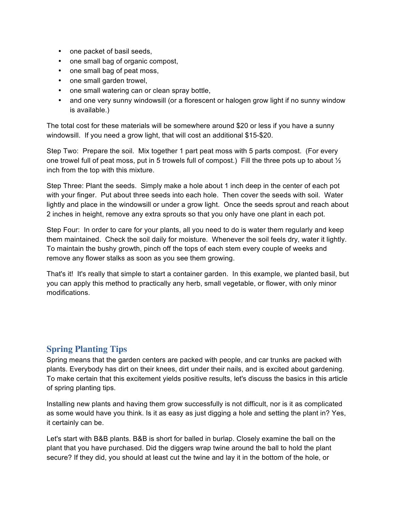- one packet of basil seeds,
- one small bag of organic compost,
- one small bag of peat moss,
- one small garden trowel,
- one small watering can or clean spray bottle,
- and one very sunny windowsill (or a florescent or halogen grow light if no sunny window is available.)

The total cost for these materials will be somewhere around \$20 or less if you have a sunny windowsill. If you need a grow light, that will cost an additional \$15-\$20.

Step Two: Prepare the soil. Mix together 1 part peat moss with 5 parts compost. (For every one trowel full of peat moss, put in 5 trowels full of compost.) Fill the three pots up to about  $\frac{1}{2}$ inch from the top with this mixture.

Step Three: Plant the seeds. Simply make a hole about 1 inch deep in the center of each pot with your finger. Put about three seeds into each hole. Then cover the seeds with soil. Water lightly and place in the windowsill or under a grow light. Once the seeds sprout and reach about 2 inches in height, remove any extra sprouts so that you only have one plant in each pot.

Step Four: In order to care for your plants, all you need to do is water them regularly and keep them maintained. Check the soil daily for moisture. Whenever the soil feels dry, water it lightly. To maintain the bushy growth, pinch off the tops of each stem every couple of weeks and remove any flower stalks as soon as you see them growing.

That's it! It's really that simple to start a container garden. In this example, we planted basil, but you can apply this method to practically any herb, small vegetable, or flower, with only minor modifications.

## **Spring Planting Tips**

Spring means that the garden centers are packed with people, and car trunks are packed with plants. Everybody has dirt on their knees, dirt under their nails, and is excited about gardening. To make certain that this excitement yields positive results, let's discuss the basics in this article of spring planting tips.

Installing new plants and having them grow successfully is not difficult, nor is it as complicated as some would have you think. Is it as easy as just digging a hole and setting the plant in? Yes, it certainly can be.

Let's start with B&B plants. B&B is short for balled in burlap. Closely examine the ball on the plant that you have purchased. Did the diggers wrap twine around the ball to hold the plant secure? If they did, you should at least cut the twine and lay it in the bottom of the hole, or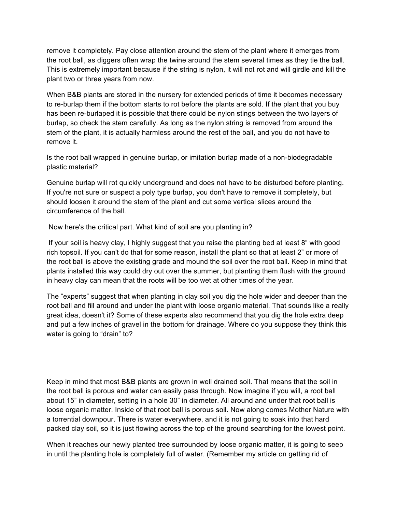remove it completely. Pay close attention around the stem of the plant where it emerges from the root ball, as diggers often wrap the twine around the stem several times as they tie the ball. This is extremely important because if the string is nylon, it will not rot and will girdle and kill the plant two or three years from now.

When B&B plants are stored in the nursery for extended periods of time it becomes necessary to re-burlap them if the bottom starts to rot before the plants are sold. If the plant that you buy has been re-burlaped it is possible that there could be nylon stings between the two layers of burlap, so check the stem carefully. As long as the nylon string is removed from around the stem of the plant, it is actually harmless around the rest of the ball, and you do not have to remove it.

Is the root ball wrapped in genuine burlap, or imitation burlap made of a non-biodegradable plastic material?

Genuine burlap will rot quickly underground and does not have to be disturbed before planting. If you're not sure or suspect a poly type burlap, you don't have to remove it completely, but should loosen it around the stem of the plant and cut some vertical slices around the circumference of the ball.

Now here's the critical part. What kind of soil are you planting in?

 If your soil is heavy clay, I highly suggest that you raise the planting bed at least 8" with good rich topsoil. If you can't do that for some reason, install the plant so that at least 2" or more of the root ball is above the existing grade and mound the soil over the root ball. Keep in mind that plants installed this way could dry out over the summer, but planting them flush with the ground in heavy clay can mean that the roots will be too wet at other times of the year.

The "experts" suggest that when planting in clay soil you dig the hole wider and deeper than the root ball and fill around and under the plant with loose organic material. That sounds like a really great idea, doesn't it? Some of these experts also recommend that you dig the hole extra deep and put a few inches of gravel in the bottom for drainage. Where do you suppose they think this water is going to "drain" to?

Keep in mind that most B&B plants are grown in well drained soil. That means that the soil in the root ball is porous and water can easily pass through. Now imagine if you will, a root ball about 15" in diameter, setting in a hole 30" in diameter. All around and under that root ball is loose organic matter. Inside of that root ball is porous soil. Now along comes Mother Nature with a torrential downpour. There is water everywhere, and it is not going to soak into that hard packed clay soil, so it is just flowing across the top of the ground searching for the lowest point.

When it reaches our newly planted tree surrounded by loose organic matter, it is going to seep in until the planting hole is completely full of water. (Remember my article on getting rid of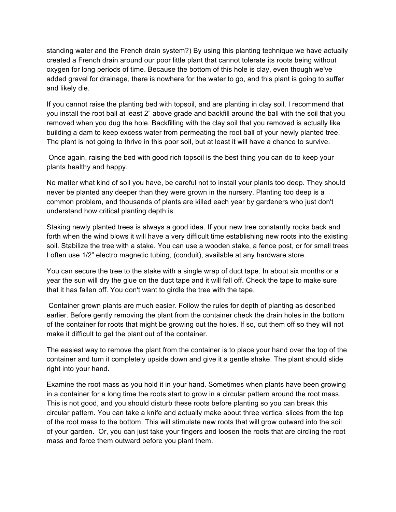standing water and the French drain system?) By using this planting technique we have actually created a French drain around our poor little plant that cannot tolerate its roots being without oxygen for long periods of time. Because the bottom of this hole is clay, even though we've added gravel for drainage, there is nowhere for the water to go, and this plant is going to suffer and likely die.

If you cannot raise the planting bed with topsoil, and are planting in clay soil, I recommend that you install the root ball at least 2" above grade and backfill around the ball with the soil that you removed when you dug the hole. Backfilling with the clay soil that you removed is actually like building a dam to keep excess water from permeating the root ball of your newly planted tree. The plant is not going to thrive in this poor soil, but at least it will have a chance to survive.

 Once again, raising the bed with good rich topsoil is the best thing you can do to keep your plants healthy and happy.

No matter what kind of soil you have, be careful not to install your plants too deep. They should never be planted any deeper than they were grown in the nursery. Planting too deep is a common problem, and thousands of plants are killed each year by gardeners who just don't understand how critical planting depth is.

Staking newly planted trees is always a good idea. If your new tree constantly rocks back and forth when the wind blows it will have a very difficult time establishing new roots into the existing soil. Stabilize the tree with a stake. You can use a wooden stake, a fence post, or for small trees I often use 1/2" electro magnetic tubing, (conduit), available at any hardware store.

You can secure the tree to the stake with a single wrap of duct tape. In about six months or a year the sun will dry the glue on the duct tape and it will fall off. Check the tape to make sure that it has fallen off. You don't want to girdle the tree with the tape.

 Container grown plants are much easier. Follow the rules for depth of planting as described earlier. Before gently removing the plant from the container check the drain holes in the bottom of the container for roots that might be growing out the holes. If so, cut them off so they will not make it difficult to get the plant out of the container.

The easiest way to remove the plant from the container is to place your hand over the top of the container and turn it completely upside down and give it a gentle shake. The plant should slide right into your hand.

Examine the root mass as you hold it in your hand. Sometimes when plants have been growing in a container for a long time the roots start to grow in a circular pattern around the root mass. This is not good, and you should disturb these roots before planting so you can break this circular pattern. You can take a knife and actually make about three vertical slices from the top of the root mass to the bottom. This will stimulate new roots that will grow outward into the soil of your garden. Or, you can just take your fingers and loosen the roots that are circling the root mass and force them outward before you plant them.